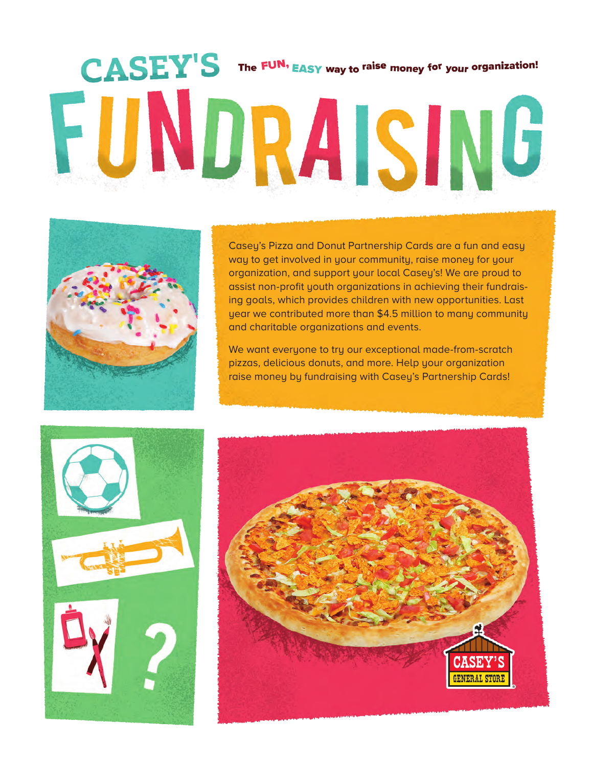# CASEY'S The FUN, EASY way to raise money for your organization! FUNDRAISING



Casey's Pizza and Donut Partnership Cards are a fun and easy way to get involved in your community, raise money for your organization, and support your local Casey's! We are proud to assist non-profit youth organizations in achieving their fundraising goals, which provides children with new opportunities. Last year we contributed more than \$4.5 million to many community and charitable organizations and events.

We want everyone to try our exceptional made-from-scratch pizzas, delicious donuts, and more. Help your organization raise money by fundraising with Casey's Partnership Cards!